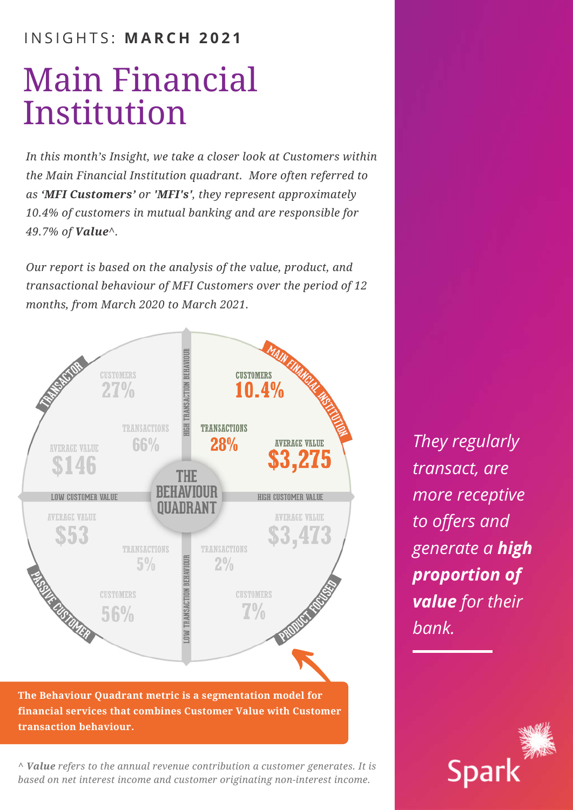# I N S I G H T S : **M A R C H 2 0 2 1**

# Main Financial Institution

*In this month's Insight, we take a closer look at Customers within the Main Financial Institution quadrant. More often referred to as 'MFI Customers' or 'MFI's', they represent approximately 10.4% of customers in mutual banking and are responsible for 49.7% of Value^.*

*Our report is based on the analysis of the value, product, and transactional behaviour of MFI Customers over the period of 12 months, from March 2020 to March 2021.*



**The Behaviour Quadrant metric is a segmentation model for financial services that combines Customer Value with Customer transaction behaviour.**

*^ Value refers to the annual revenue contribution a customer generates. It is based on net interest income and customer originating non-interest income.*

*They regularly transact, are more receptive to offers and generate a high proportion of value for their bank.*

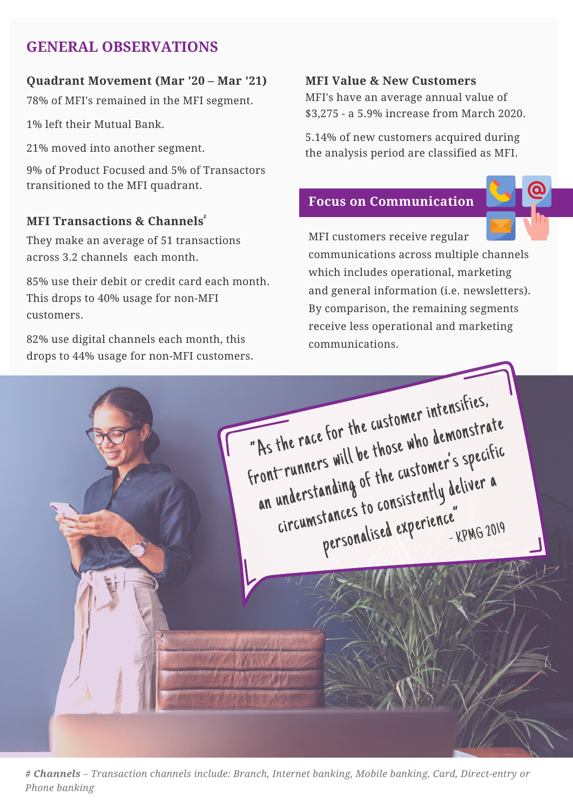# **GENERAL OBSERVATIONS**

## **Quadrant Movement (Mar '20 – Mar '21)**

78% of MFI's remained in the MFI segment.

1% left their Mutual Bank.

21% moved into another segment.

9% of Product Focused and 5% of Transactors transitioned to the MFI quadrant.

# **MFI Transactions & Channels #**

They make an average of 51 transactions across 3.2 channels each month.

85% use their debit or credit card each month. This drops to 40% usage for non-MFI customers.

82% use digital channels each month, this drops to 44% usage for non-MFI customers.

## **MFI Value & New Customers**

MFI's have an average annual value of \$3,275 - a 5.9% increase from March 2020.

5.14% of new customers acquired during the analysis period are classified as MFI.

# **Focus on Communication**



MFI customers receive regular communications across multiple channels which includes operational, marketing and general information (i.e. newsletters). By comparison, the remaining segments receive less operational and marketing communications.



**0 4** *# Channels – Transaction channels include: Branch, Internet banking, Mobile banking, Card, Direct-entry or Phone banking*